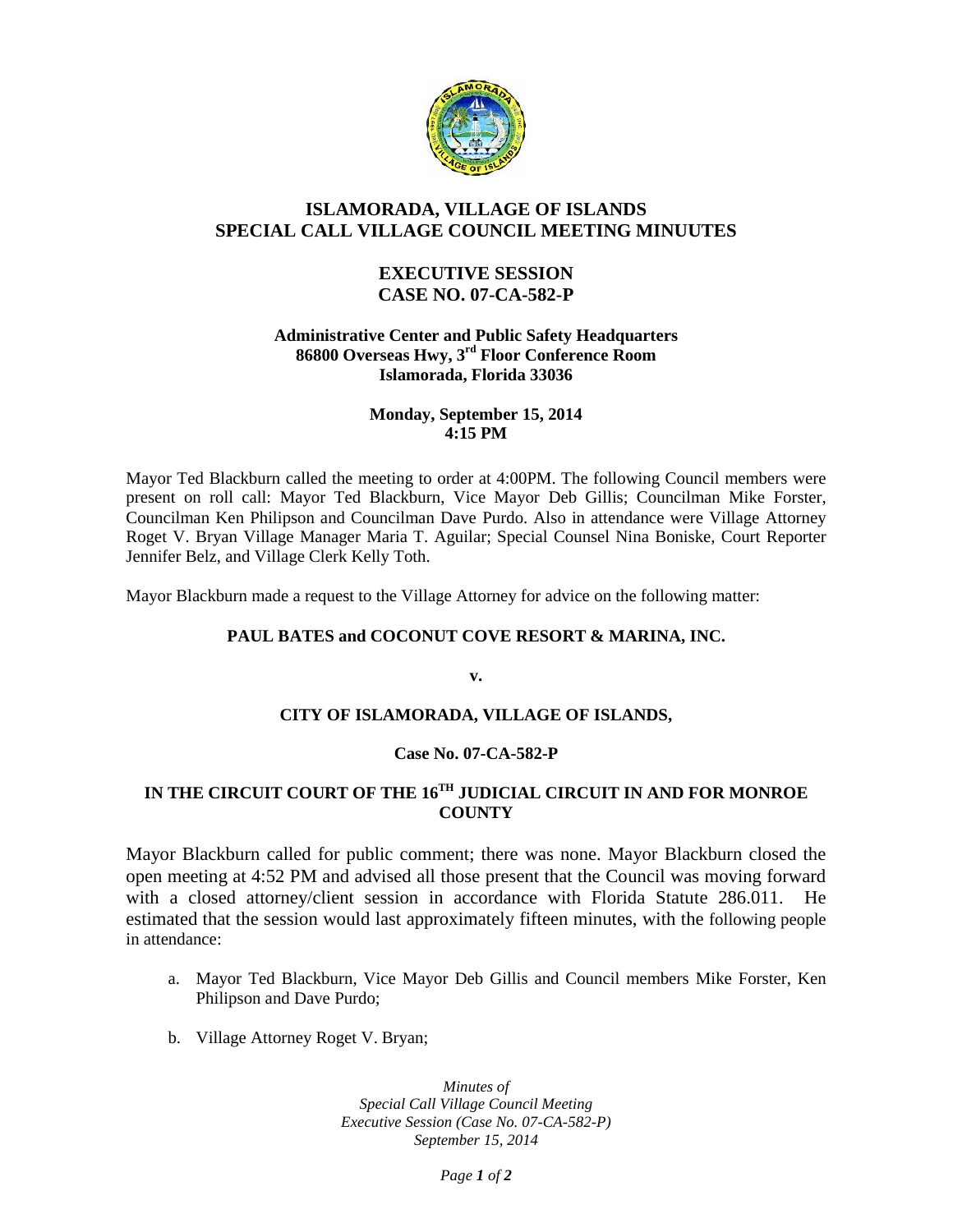

# **ISLAMORADA, VILLAGE OF ISLANDS SPECIAL CALL VILLAGE COUNCIL MEETING MINUUTES**

## **EXECUTIVE SESSION CASE NO. 07-CA-582-P**

#### **Administrative Center and Public Safety Headquarters 86800 Overseas Hwy, 3rd Floor Conference Room Islamorada, Florida 33036**

#### **Monday, September 15, 2014 4:15 PM**

Mayor Ted Blackburn called the meeting to order at 4:00PM. The following Council members were present on roll call: Mayor Ted Blackburn, Vice Mayor Deb Gillis; Councilman Mike Forster, Councilman Ken Philipson and Councilman Dave Purdo. Also in attendance were Village Attorney Roget V. Bryan Village Manager Maria T. Aguilar; Special Counsel Nina Boniske, Court Reporter Jennifer Belz, and Village Clerk Kelly Toth.

Mayor Blackburn made a request to the Village Attorney for advice on the following matter:

### **PAUL BATES and COCONUT COVE RESORT & MARINA, INC.**

**v.**

### **CITY OF ISLAMORADA, VILLAGE OF ISLANDS,**

### **Case No. 07-CA-582-P**

# **IN THE CIRCUIT COURT OF THE 16TH JUDICIAL CIRCUIT IN AND FOR MONROE COUNTY**

Mayor Blackburn called for public comment; there was none. Mayor Blackburn closed the open meeting at 4:52 PM and advised all those present that the Council was moving forward with a closed attorney/client session in accordance with Florida Statute 286.011. He estimated that the session would last approximately fifteen minutes, with the following people in attendance:

- a. Mayor Ted Blackburn, Vice Mayor Deb Gillis and Council members Mike Forster, Ken Philipson and Dave Purdo;
- b. Village Attorney Roget V. Bryan;

*Minutes of Special Call Village Council Meeting Executive Session (Case No. 07-CA-582-P) September 15, 2014*